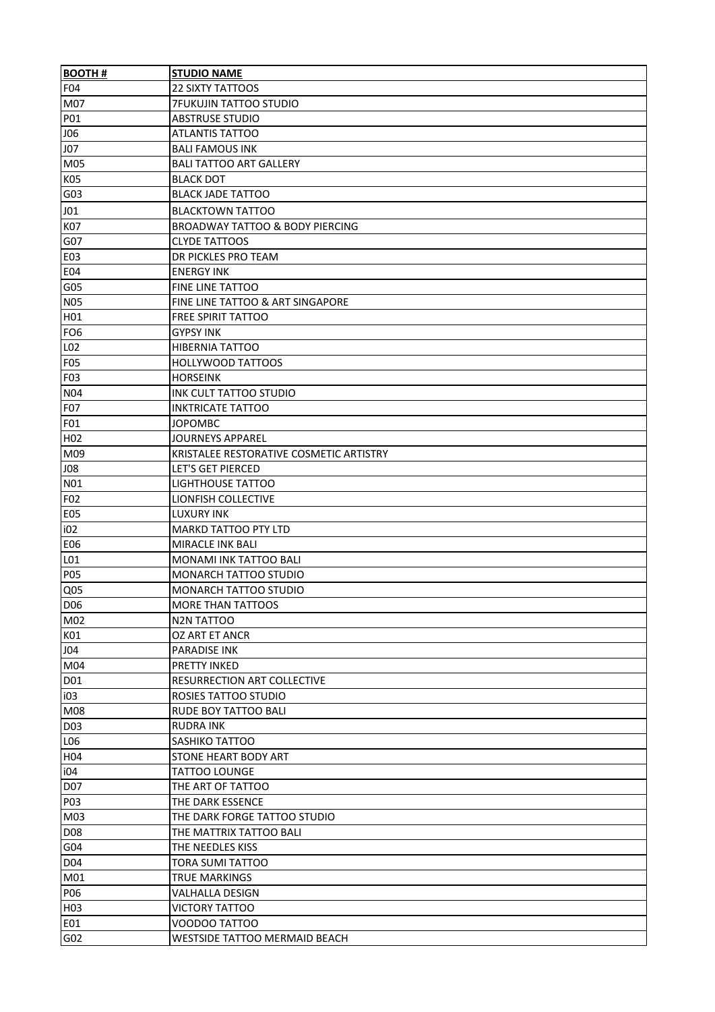| <b>BOOTH#</b>    | <b>STUDIO NAME</b>                         |
|------------------|--------------------------------------------|
| F04              | <b>22 SIXTY TATTOOS</b>                    |
| M07              | <b>7FUKUJIN TATTOO STUDIO</b>              |
| P01              | <b>ABSTRUSE STUDIO</b>                     |
| <b>JO6</b>       | <b>ATLANTIS TATTOO</b>                     |
| <b>J07</b>       | <b>BALI FAMOUS INK</b>                     |
| M05              | <b>BALI TATTOO ART GALLERY</b>             |
| K05              | <b>BLACK DOT</b>                           |
| G03              | <b>BLACK JADE TATTOO</b>                   |
| J01              | <b>BLACKTOWN TATTOO</b>                    |
| <b>K07</b>       | <b>BROADWAY TATTOO &amp; BODY PIERCING</b> |
| G07              | <b>CLYDE TATTOOS</b>                       |
| E03              | DR PICKLES PRO TEAM                        |
| <b>E04</b>       | <b>ENERGY INK</b>                          |
| G05              | FINE LINE TATTOO                           |
| <b>N05</b>       | FINE LINE TATTOO & ART SINGAPORE           |
| H01              | <b>FREE SPIRIT TATTOO</b>                  |
| FO <sub>6</sub>  | <b>GYPSY INK</b>                           |
| L02              | HIBERNIA TATTOO                            |
| F05              | <b>HOLLYWOOD TATTOOS</b>                   |
| F03              | <b>HORSEINK</b>                            |
| <b>N04</b>       | <b>INK CULT TATTOO STUDIO</b>              |
| F07              | <b>INKTRICATE TATTOO</b>                   |
| F01              | <b>JOPOMBC</b>                             |
| H <sub>02</sub>  | <b>JOURNEYS APPAREL</b>                    |
| M09              | KRISTALEE RESTORATIVE COSMETIC ARTISTRY    |
| J08              | <b>LET'S GET PIERCED</b>                   |
| N01              | LIGHTHOUSE TATTOO                          |
| F02              | LIONFISH COLLECTIVE                        |
| <b>E05</b>       | <b>LUXURY INK</b>                          |
| i02              | MARKD TATTOO PTY LTD                       |
| <b>E06</b>       | MIRACLE INK BALI                           |
| L01              | <b>MONAMI INK TATTOO BALI</b>              |
| <b>P05</b>       | MONARCH TATTOO STUDIO                      |
| Q <sub>05</sub>  | <b>MONARCH TATTOO STUDIO</b>               |
| D <sub>06</sub>  | MORE THAN TATTOOS                          |
| M02              | N2N TATTOO                                 |
| K01              | OZ ART ET ANCR                             |
| J04              | PARADISE INK                               |
| M04              | PRETTY INKED                               |
| D01              | RESURRECTION ART COLLECTIVE                |
| i03              | ROSIES TATTOO STUDIO                       |
| M08              | RUDE BOY TATTOO BALI                       |
| <b>D03</b>       | <b>RUDRA INK</b>                           |
| L06              | SASHIKO TATTOO                             |
| H04              | STONE HEART BODY ART                       |
| i04              | <b>TATTOO LOUNGE</b>                       |
| D07              | THE ART OF TATTOO                          |
| <b>P03</b>       | THE DARK ESSENCE                           |
| M03              | THE DARK FORGE TATTOO STUDIO               |
| D <sub>08</sub>  | THE MATTRIX TATTOO BALI                    |
| G04              | THE NEEDLES KISS                           |
| D04              | <b>TORA SUMI TATTOO</b>                    |
| M01              | TRUE MARKINGS                              |
| P06              | <b>VALHALLA DESIGN</b>                     |
| H <sub>0</sub> 3 | <b>VICTORY TATTOO</b>                      |
| E01              | VOODOO TATTOO                              |
| G <sub>02</sub>  | <b>WESTSIDE TATTOO MERMAID BEACH</b>       |